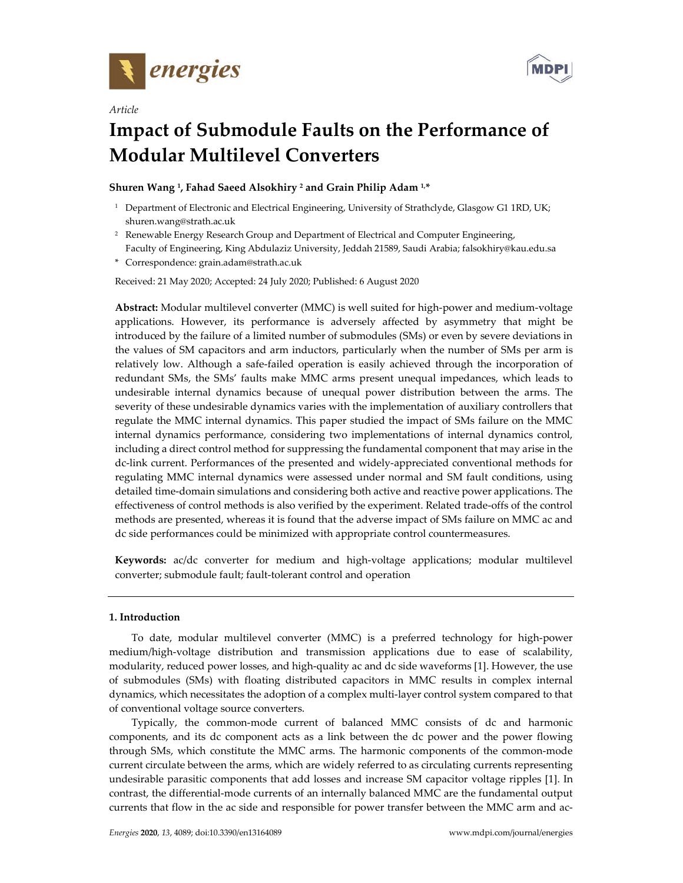

*Article*



# **Impact of Submodule Faults on the Performance of Modular Multilevel Converters**

## **Shuren Wang 1, Fahad Saeed Alsokhiry 2 and Grain Philip Adam 1,\***

- <sup>1</sup> Department of Electronic and Electrical Engineering, University of Strathclyde, Glasgow G1 1RD, UK; shuren.wang@strath.ac.uk
- <sup>2</sup> Renewable Energy Research Group and Department of Electrical and Computer Engineering, Faculty of Engineering, King Abdulaziz University, Jeddah 21589, Saudi Arabia; falsokhiry@kau.edu.sa
- \* Correspondence: grain.adam@strath.ac.uk

Received: 21 May 2020; Accepted: 24 July 2020; Published: 6 August 2020

**Abstract:** Modular multilevel converter (MMC) is well suited for high-power and medium-voltage applications. However, its performance is adversely affected by asymmetry that might be introduced by the failure of a limited number of submodules (SMs) or even by severe deviations in the values of SM capacitors and arm inductors, particularly when the number of SMs per arm is relatively low. Although a safe-failed operation is easily achieved through the incorporation of redundant SMs, the SMs' faults make MMC arms present unequal impedances, which leads to undesirable internal dynamics because of unequal power distribution between the arms. The severity of these undesirable dynamics varies with the implementation of auxiliary controllers that regulate the MMC internal dynamics. This paper studied the impact of SMs failure on the MMC internal dynamics performance, considering two implementations of internal dynamics control, including a direct control method for suppressing the fundamental component that may arise in the dc-link current. Performances of the presented and widely-appreciated conventional methods for regulating MMC internal dynamics were assessed under normal and SM fault conditions, using detailed time-domain simulations and considering both active and reactive power applications. The effectiveness of control methods is also verified by the experiment. Related trade-offs of the control methods are presented, whereas it is found that the adverse impact of SMs failure on MMC ac and dc side performances could be minimized with appropriate control countermeasures.

**Keywords:** ac/dc converter for medium and high-voltage applications; modular multilevel converter; submodule fault; fault-tolerant control and operation

#### **1. Introduction**

To date, modular multilevel converter (MMC) is a preferred technology for high-power medium/high-voltage distribution and transmission applications due to ease of scalability, modularity, reduced power losses, and high-quality ac and dc side waveforms [1]. However, the use of submodules (SMs) with floating distributed capacitors in MMC results in complex internal dynamics, which necessitates the adoption of a complex multi-layer control system compared to that of conventional voltage source converters.

Typically, the common-mode current of balanced MMC consists of dc and harmonic components, and its dc component acts as a link between the dc power and the power flowing through SMs, which constitute the MMC arms. The harmonic components of the common-mode current circulate between the arms, which are widely referred to as circulating currents representing undesirable parasitic components that add losses and increase SM capacitor voltage ripples [1]. In contrast, the differential-mode currents of an internally balanced MMC are the fundamental output currents that flow in the ac side and responsible for power transfer between the MMC arm and ac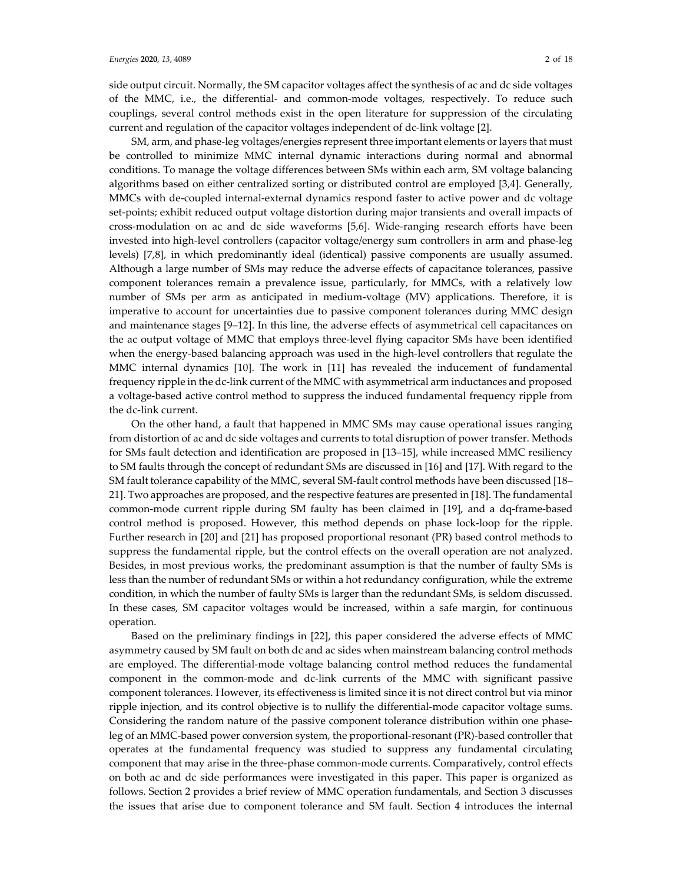side output circuit. Normally, the SM capacitor voltages affect the synthesis of ac and dc side voltages of the MMC, i.e., the differential- and common-mode voltages, respectively. To reduce such couplings, several control methods exist in the open literature for suppression of the circulating current and regulation of the capacitor voltages independent of dc-link voltage [2].

SM, arm, and phase-leg voltages/energies represent three important elements or layers that must be controlled to minimize MMC internal dynamic interactions during normal and abnormal conditions. To manage the voltage differences between SMs within each arm, SM voltage balancing algorithms based on either centralized sorting or distributed control are employed [3,4]. Generally, MMCs with de-coupled internal-external dynamics respond faster to active power and dc voltage set-points; exhibit reduced output voltage distortion during major transients and overall impacts of cross-modulation on ac and dc side waveforms [5,6]. Wide-ranging research efforts have been invested into high-level controllers (capacitor voltage/energy sum controllers in arm and phase-leg levels) [7,8], in which predominantly ideal (identical) passive components are usually assumed. Although a large number of SMs may reduce the adverse effects of capacitance tolerances, passive component tolerances remain a prevalence issue, particularly, for MMCs, with a relatively low number of SMs per arm as anticipated in medium-voltage (MV) applications. Therefore, it is imperative to account for uncertainties due to passive component tolerances during MMC design and maintenance stages [9–12]. In this line, the adverse effects of asymmetrical cell capacitances on the ac output voltage of MMC that employs three-level flying capacitor SMs have been identified when the energy-based balancing approach was used in the high-level controllers that regulate the MMC internal dynamics [10]. The work in [11] has revealed the inducement of fundamental frequency ripple in the dc-link current of the MMC with asymmetrical arm inductances and proposed a voltage-based active control method to suppress the induced fundamental frequency ripple from the dc-link current.

On the other hand, a fault that happened in MMC SMs may cause operational issues ranging from distortion of ac and dc side voltages and currents to total disruption of power transfer. Methods for SMs fault detection and identification are proposed in [13–15], while increased MMC resiliency to SM faults through the concept of redundant SMs are discussed in [16] and [17]. With regard to the SM fault tolerance capability of the MMC, several SM-fault control methods have been discussed [18– 21]. Two approaches are proposed, and the respective features are presented in [18]. The fundamental common-mode current ripple during SM faulty has been claimed in [19], and a dq-frame-based control method is proposed. However, this method depends on phase lock-loop for the ripple. Further research in [20] and [21] has proposed proportional resonant (PR) based control methods to suppress the fundamental ripple, but the control effects on the overall operation are not analyzed. Besides, in most previous works, the predominant assumption is that the number of faulty SMs is less than the number of redundant SMs or within a hot redundancy configuration, while the extreme condition, in which the number of faulty SMs is larger than the redundant SMs, is seldom discussed. In these cases, SM capacitor voltages would be increased, within a safe margin, for continuous operation.

Based on the preliminary findings in [22], this paper considered the adverse effects of MMC asymmetry caused by SM fault on both dc and ac sides when mainstream balancing control methods are employed. The differential-mode voltage balancing control method reduces the fundamental component in the common-mode and dc-link currents of the MMC with significant passive component tolerances. However, its effectiveness is limited since it is not direct control but via minor ripple injection, and its control objective is to nullify the differential-mode capacitor voltage sums. Considering the random nature of the passive component tolerance distribution within one phaseleg of an MMC-based power conversion system, the proportional-resonant (PR)-based controller that operates at the fundamental frequency was studied to suppress any fundamental circulating component that may arise in the three-phase common-mode currents. Comparatively, control effects on both ac and dc side performances were investigated in this paper. This paper is organized as follows. Section 2 provides a brief review of MMC operation fundamentals, and Section 3 discusses the issues that arise due to component tolerance and SM fault. Section 4 introduces the internal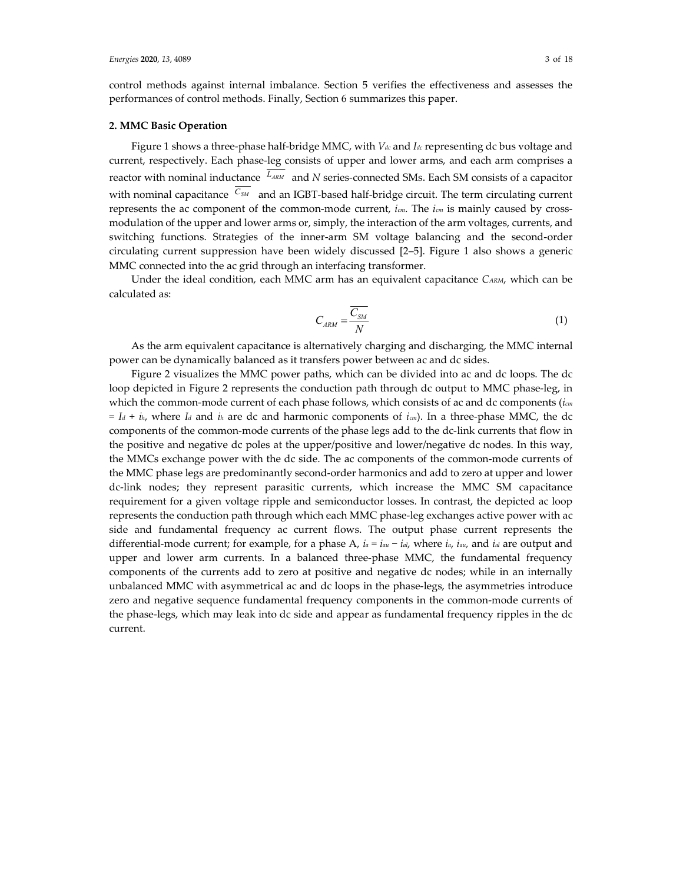control methods against internal imbalance. Section 5 verifies the effectiveness and assesses the performances of control methods. Finally, Section 6 summarizes this paper.

#### **2. MMC Basic Operation**

Figure 1 shows a three-phase half-bridge MMC, with *Vdc* and *Idc* representing dc bus voltage and current, respectively. Each phase-leg consists of upper and lower arms, and each arm comprises a reactor with nominal inductance  $L_{\text{ARM}}$  and *N* series-connected SMs. Each SM consists of a capacitor with nominal capacitance  $\sqrt{c_{SM}}$  and an IGBT-based half-bridge circuit. The term circulating current represents the ac component of the common-mode current, *icm*. The *icm* is mainly caused by crossmodulation of the upper and lower arms or, simply, the interaction of the arm voltages, currents, and switching functions. Strategies of the inner-arm SM voltage balancing and the second-order circulating current suppression have been widely discussed [2–5]. Figure 1 also shows a generic MMC connected into the ac grid through an interfacing transformer.

Under the ideal condition, each MMC arm has an equivalent capacitance *CARM*, which can be calculated as:

$$
C_{ARM} = \frac{\overline{C_{SM}}}{N}
$$
 (1)

As the arm equivalent capacitance is alternatively charging and discharging, the MMC internal power can be dynamically balanced as it transfers power between ac and dc sides.

Figure 2 visualizes the MMC power paths, which can be divided into ac and dc loops. The dc loop depicted in Figure 2 represents the conduction path through dc output to MMC phase-leg, in which the common-mode current of each phase follows, which consists of ac and dc components (*icm = Id + ih*, where *Id* and *ih* are dc and harmonic components of *icm*). In a three-phase MMC, the dc components of the common-mode currents of the phase legs add to the dc-link currents that flow in the positive and negative dc poles at the upper/positive and lower/negative dc nodes. In this way, the MMCs exchange power with the dc side. The ac components of the common-mode currents of the MMC phase legs are predominantly second-order harmonics and add to zero at upper and lower dc-link nodes; they represent parasitic currents, which increase the MMC SM capacitance requirement for a given voltage ripple and semiconductor losses. In contrast, the depicted ac loop represents the conduction path through which each MMC phase-leg exchanges active power with ac side and fundamental frequency ac current flows. The output phase current represents the differential-mode current; for example, for a phase A, *ia = iau − ial*, where *ia*, *iau,* and *ial* are output and upper and lower arm currents. In a balanced three-phase MMC, the fundamental frequency components of the currents add to zero at positive and negative dc nodes; while in an internally unbalanced MMC with asymmetrical ac and dc loops in the phase-legs, the asymmetries introduce zero and negative sequence fundamental frequency components in the common-mode currents of the phase-legs, which may leak into dc side and appear as fundamental frequency ripples in the dc current.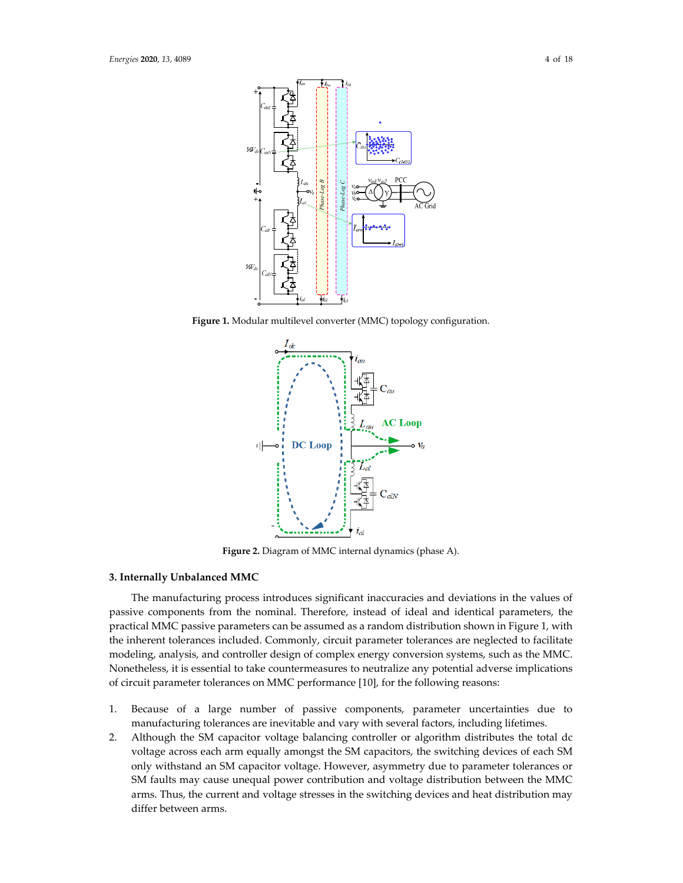

**Figure 1.** Modular multilevel converter (MMC) topology configuration.



**Figure 2.** Diagram of MMC internal dynamics (phase A).

## **3. Internally Unbalanced MMC**

The manufacturing process introduces significant inaccuracies and deviations in the values of passive components from the nominal. Therefore, instead of ideal and identical parameters, the practical MMC passive parameters can be assumed as a random distribution shown in Figure 1, with the inherent tolerances included. Commonly, circuit parameter tolerances are neglected to facilitate modeling, analysis, and controller design of complex energy conversion systems, such as the MMC. Nonetheless, it is essential to take countermeasures to neutralize any potential adverse implications of circuit parameter tolerances on MMC performance [10], for the following reasons:

- 1. Because of a large number of passive components, parameter uncertainties due to manufacturing tolerances are inevitable and vary with several factors, including lifetimes.
- 2. Although the SM capacitor voltage balancing controller or algorithm distributes the total dc voltage across each arm equally amongst the SM capacitors, the switching devices of each SM only withstand an SM capacitor voltage. However, asymmetry due to parameter tolerances or SM faults may cause unequal power contribution and voltage distribution between the MMC arms. Thus, the current and voltage stresses in the switching devices and heat distribution may differ between arms.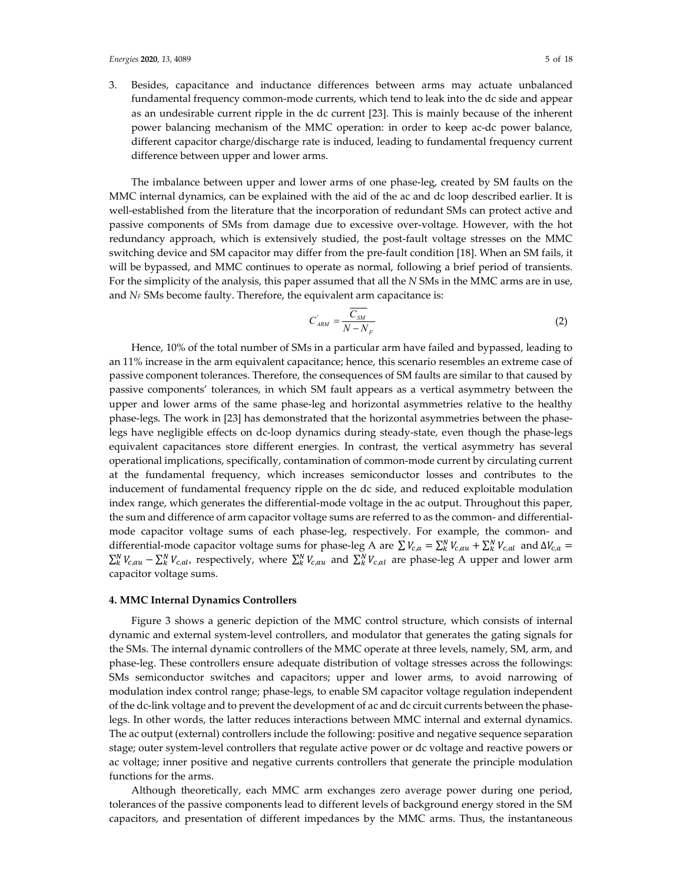3. Besides, capacitance and inductance differences between arms may actuate unbalanced fundamental frequency common-mode currents, which tend to leak into the dc side and appear as an undesirable current ripple in the dc current [23]. This is mainly because of the inherent power balancing mechanism of the MMC operation: in order to keep ac-dc power balance, different capacitor charge/discharge rate is induced, leading to fundamental frequency current difference between upper and lower arms.

The imbalance between upper and lower arms of one phase-leg, created by SM faults on the MMC internal dynamics, can be explained with the aid of the ac and dc loop described earlier. It is well-established from the literature that the incorporation of redundant SMs can protect active and passive components of SMs from damage due to excessive over-voltage. However, with the hot redundancy approach, which is extensively studied, the post-fault voltage stresses on the MMC switching device and SM capacitor may differ from the pre-fault condition [18]. When an SM fails, it will be bypassed, and MMC continues to operate as normal, following a brief period of transients. For the simplicity of the analysis, this paper assumed that all the *N* SMs in the MMC arms are in use, and *NF* SMs become faulty. Therefore, the equivalent arm capacitance is:

$$
C_{ARM}^{'} = \frac{\overline{C_{SM}}}{N - N_F} \tag{2}
$$

Hence, 10% of the total number of SMs in a particular arm have failed and bypassed, leading to an 11% increase in the arm equivalent capacitance; hence, this scenario resembles an extreme case of passive component tolerances. Therefore, the consequences of SM faults are similar to that caused by passive components' tolerances, in which SM fault appears as a vertical asymmetry between the upper and lower arms of the same phase-leg and horizontal asymmetries relative to the healthy phase-legs. The work in [23] has demonstrated that the horizontal asymmetries between the phaselegs have negligible effects on dc-loop dynamics during steady-state, even though the phase-legs equivalent capacitances store different energies. In contrast, the vertical asymmetry has several operational implications, specifically, contamination of common-mode current by circulating current at the fundamental frequency, which increases semiconductor losses and contributes to the inducement of fundamental frequency ripple on the dc side, and reduced exploitable modulation index range, which generates the differential-mode voltage in the ac output. Throughout this paper, the sum and difference of arm capacitor voltage sums are referred to as the common- and differentialmode capacitor voltage sums of each phase-leg, respectively. For example, the common- and differential-mode capacitor voltage sums for phase-leg A are  $\sum V_{c,a} = \sum_{k}^{N} V_{c,au} + \sum_{k}^{N} V_{c,al}$  and  $\Delta V_{c,a} =$  $\sum_{k}^{N}V_{c,au} - \sum_{k}^{N}V_{c,al}$ , respectively, where  $\sum_{k}^{N}V_{c,au}$  and  $\sum_{k}^{N}V_{c,al}$  are phase-leg A upper and lower arm capacitor voltage sums.

#### **4. MMC Internal Dynamics Controllers**

Figure 3 shows a generic depiction of the MMC control structure, which consists of internal dynamic and external system-level controllers, and modulator that generates the gating signals for the SMs. The internal dynamic controllers of the MMC operate at three levels, namely, SM, arm, and phase-leg. These controllers ensure adequate distribution of voltage stresses across the followings: SMs semiconductor switches and capacitors; upper and lower arms, to avoid narrowing of modulation index control range; phase-legs, to enable SM capacitor voltage regulation independent of the dc-link voltage and to prevent the development of ac and dc circuit currents between the phaselegs. In other words, the latter reduces interactions between MMC internal and external dynamics. The ac output (external) controllers include the following: positive and negative sequence separation stage; outer system-level controllers that regulate active power or dc voltage and reactive powers or ac voltage; inner positive and negative currents controllers that generate the principle modulation functions for the arms.

Although theoretically, each MMC arm exchanges zero average power during one period, tolerances of the passive components lead to different levels of background energy stored in the SM capacitors, and presentation of different impedances by the MMC arms. Thus, the instantaneous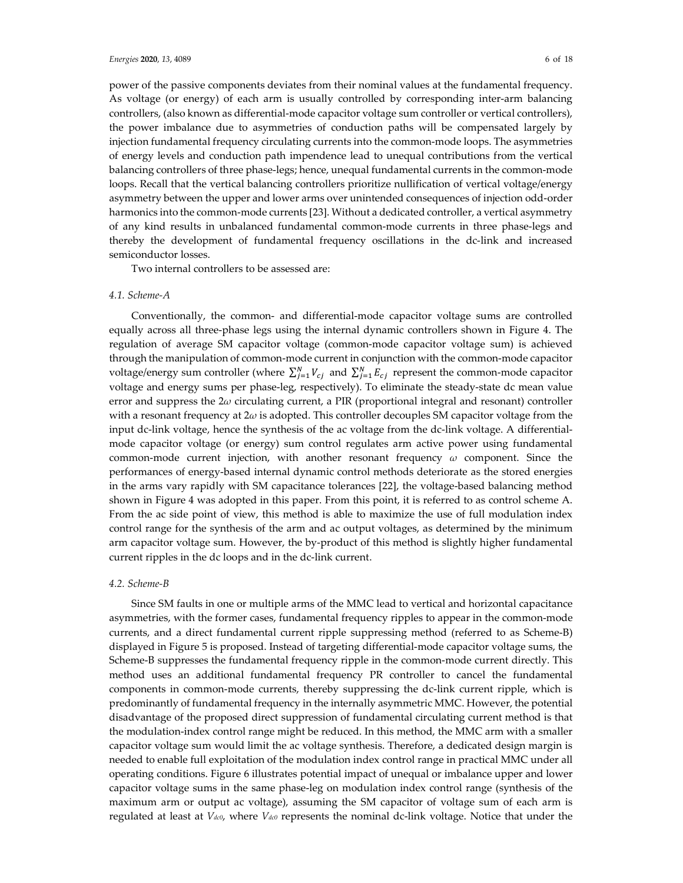power of the passive components deviates from their nominal values at the fundamental frequency. As voltage (or energy) of each arm is usually controlled by corresponding inter-arm balancing controllers, (also known as differential-mode capacitor voltage sum controller or vertical controllers), the power imbalance due to asymmetries of conduction paths will be compensated largely by injection fundamental frequency circulating currents into the common-mode loops. The asymmetries of energy levels and conduction path impendence lead to unequal contributions from the vertical balancing controllers of three phase-legs; hence, unequal fundamental currents in the common-mode loops. Recall that the vertical balancing controllers prioritize nullification of vertical voltage/energy asymmetry between the upper and lower arms over unintended consequences of injection odd-order harmonics into the common-mode currents [23]. Without a dedicated controller, a vertical asymmetry of any kind results in unbalanced fundamental common-mode currents in three phase-legs and thereby the development of fundamental frequency oscillations in the dc-link and increased semiconductor losses.

Two internal controllers to be assessed are:

## *4.1. Scheme-A*

Conventionally, the common- and differential-mode capacitor voltage sums are controlled equally across all three-phase legs using the internal dynamic controllers shown in Figure 4. The regulation of average SM capacitor voltage (common-mode capacitor voltage sum) is achieved through the manipulation of common-mode current in conjunction with the common-mode capacitor voltage/energy sum controller (where  $\sum_{j=1}^{N} V_{cj}$  and  $\sum_{j=1}^{N} E_{cj}$  represent the common-mode capacitor voltage and energy sums per phase-leg, respectively). To eliminate the steady-state dc mean value error and suppress the 2*ω* circulating current, a PIR (proportional integral and resonant) controller with a resonant frequency at 2*ω* is adopted. This controller decouples SM capacitor voltage from the input dc-link voltage, hence the synthesis of the ac voltage from the dc-link voltage. A differentialmode capacitor voltage (or energy) sum control regulates arm active power using fundamental common-mode current injection, with another resonant frequency *ω* component. Since the performances of energy-based internal dynamic control methods deteriorate as the stored energies in the arms vary rapidly with SM capacitance tolerances [22], the voltage-based balancing method shown in Figure 4 was adopted in this paper. From this point, it is referred to as control scheme A. From the ac side point of view, this method is able to maximize the use of full modulation index control range for the synthesis of the arm and ac output voltages, as determined by the minimum arm capacitor voltage sum. However, the by-product of this method is slightly higher fundamental current ripples in the dc loops and in the dc-link current.

### *4.2. Scheme-B*

Since SM faults in one or multiple arms of the MMC lead to vertical and horizontal capacitance asymmetries, with the former cases, fundamental frequency ripples to appear in the common-mode currents, and a direct fundamental current ripple suppressing method (referred to as Scheme-B) displayed in Figure 5 is proposed. Instead of targeting differential-mode capacitor voltage sums, the Scheme-B suppresses the fundamental frequency ripple in the common-mode current directly. This method uses an additional fundamental frequency PR controller to cancel the fundamental components in common-mode currents, thereby suppressing the dc-link current ripple, which is predominantly of fundamental frequency in the internally asymmetric MMC. However, the potential disadvantage of the proposed direct suppression of fundamental circulating current method is that the modulation-index control range might be reduced. In this method, the MMC arm with a smaller capacitor voltage sum would limit the ac voltage synthesis. Therefore, a dedicated design margin is needed to enable full exploitation of the modulation index control range in practical MMC under all operating conditions. Figure 6 illustrates potential impact of unequal or imbalance upper and lower capacitor voltage sums in the same phase-leg on modulation index control range (synthesis of the maximum arm or output ac voltage), assuming the SM capacitor of voltage sum of each arm is regulated at least at *Vdc0*, where *Vdc0* represents the nominal dc-link voltage. Notice that under the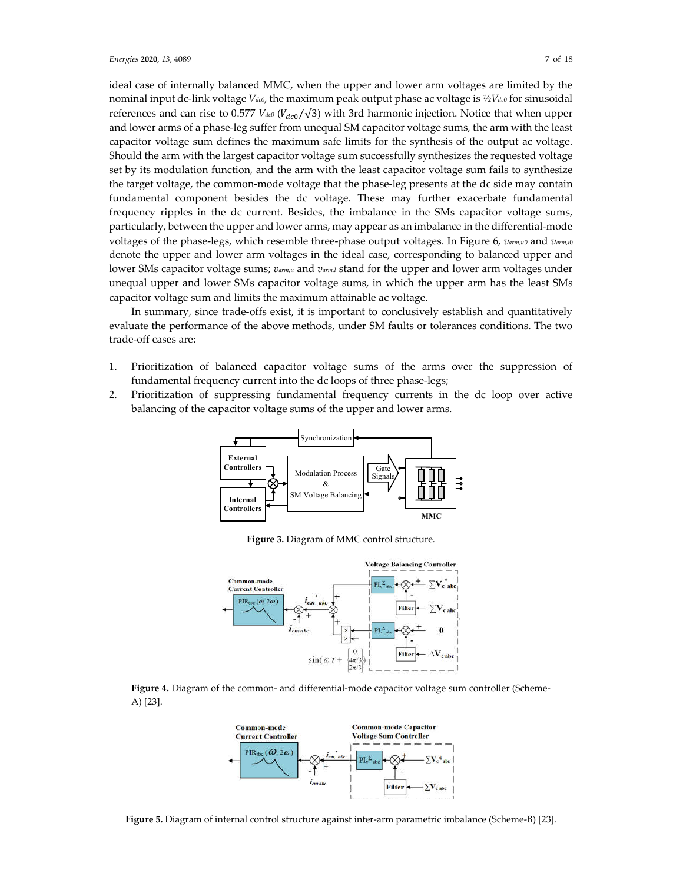ideal case of internally balanced MMC, when the upper and lower arm voltages are limited by the nominal input dc-link voltage *Vdc0*, the maximum peak output phase ac voltage is *½Vdc0* for sinusoidal references and can rise to 0.577  $V_{dc0}$  ( $V_{dc0}/\sqrt{3}$ ) with 3rd harmonic injection. Notice that when upper and lower arms of a phase-leg suffer from unequal SM capacitor voltage sums, the arm with the least capacitor voltage sum defines the maximum safe limits for the synthesis of the output ac voltage. Should the arm with the largest capacitor voltage sum successfully synthesizes the requested voltage set by its modulation function, and the arm with the least capacitor voltage sum fails to synthesize the target voltage, the common-mode voltage that the phase-leg presents at the dc side may contain fundamental component besides the dc voltage. These may further exacerbate fundamental frequency ripples in the dc current. Besides, the imbalance in the SMs capacitor voltage sums, particularly, between the upper and lower arms, may appear as an imbalance in the differential-mode voltages of the phase-legs, which resemble three-phase output voltages. In Figure 6, *varm,u0* and *varm,l*<sup>0</sup> denote the upper and lower arm voltages in the ideal case, corresponding to balanced upper and lower SMs capacitor voltage sums; *varm,u* and *varm,l* stand for the upper and lower arm voltages under unequal upper and lower SMs capacitor voltage sums, in which the upper arm has the least SMs capacitor voltage sum and limits the maximum attainable ac voltage.

In summary, since trade-offs exist, it is important to conclusively establish and quantitatively evaluate the performance of the above methods, under SM faults or tolerances conditions. The two trade-off cases are:

- 1. Prioritization of balanced capacitor voltage sums of the arms over the suppression of fundamental frequency current into the dc loops of three phase-legs;
- 2. Prioritization of suppressing fundamental frequency currents in the dc loop over active balancing of the capacitor voltage sums of the upper and lower arms.



**Figure 3.** Diagram of MMC control structure.







**Figure 5.** Diagram of internal control structure against inter-arm parametric imbalance (Scheme-B) [23].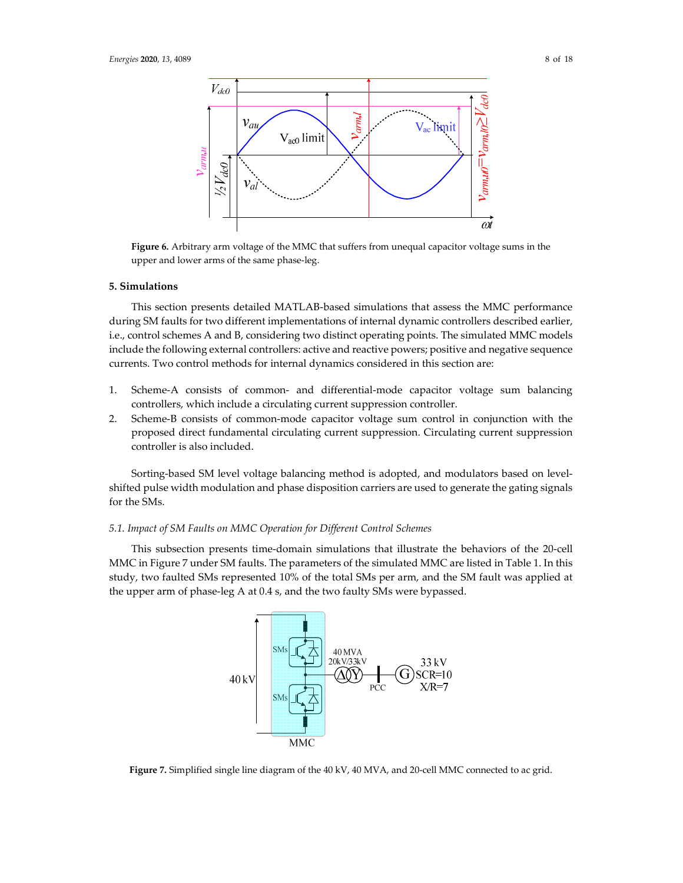

**Figure 6.** Arbitrary arm voltage of the MMC that suffers from unequal capacitor voltage sums in the upper and lower arms of the same phase-leg.

### **5. Simulations**

This section presents detailed MATLAB-based simulations that assess the MMC performance during SM faults for two different implementations of internal dynamic controllers described earlier, i.e., control schemes A and B, considering two distinct operating points. The simulated MMC models include the following external controllers: active and reactive powers; positive and negative sequence currents. Two control methods for internal dynamics considered in this section are:

- 1. Scheme-A consists of common- and differential-mode capacitor voltage sum balancing controllers, which include a circulating current suppression controller.
- 2. Scheme-B consists of common-mode capacitor voltage sum control in conjunction with the proposed direct fundamental circulating current suppression. Circulating current suppression controller is also included.

Sorting-based SM level voltage balancing method is adopted, and modulators based on levelshifted pulse width modulation and phase disposition carriers are used to generate the gating signals for the SMs.

#### *5.1. Impact of SM Faults on MMC Operation for Different Control Schemes*

This subsection presents time-domain simulations that illustrate the behaviors of the 20-cell MMC in Figure 7 under SM faults. The parameters of the simulated MMC are listed in Table 1. In this study, two faulted SMs represented 10% of the total SMs per arm, and the SM fault was applied at the upper arm of phase-leg A at 0.4 s, and the two faulty SMs were bypassed.



Figure 7. Simplified single line diagram of the 40 kV, 40 MVA, and 20-cell MMC connected to ac grid.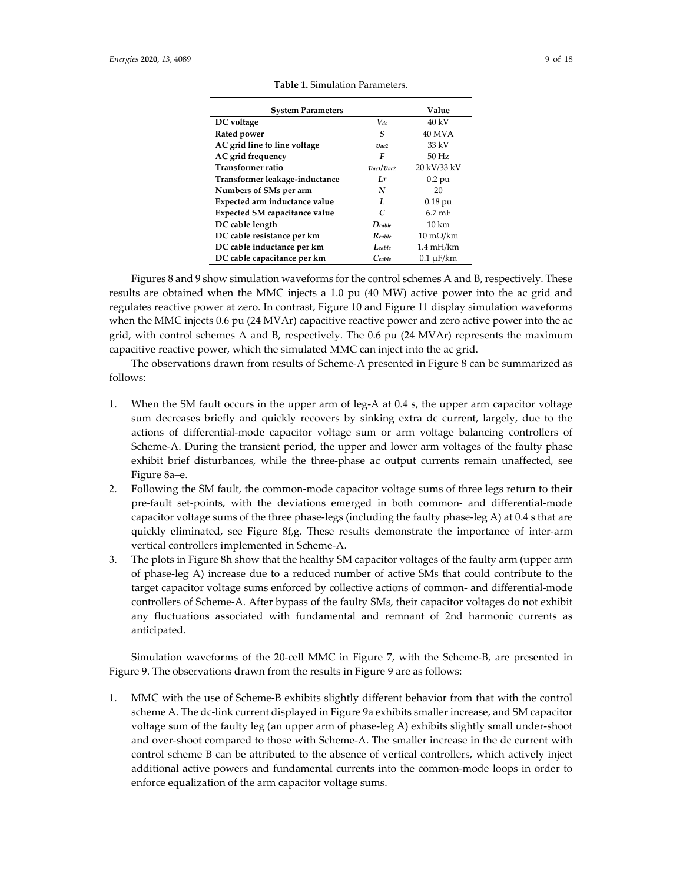| <b>System Parameters</b>             |                    | Value                          |
|--------------------------------------|--------------------|--------------------------------|
| DC voltage                           | $V_{dc}$           | $40 \text{ kV}$                |
| Rated power                          | S                  | 40 MVA                         |
| AC grid line to line voltage         | $\eta_{ac2}$       | $33 \text{ kV}$                |
| AC grid frequency                    | F                  | $50$ Hz                        |
| <b>Transformer ratio</b>             | $v_{ac1}/v_{ac2}$  | 20 kV/33 kV                    |
| Transformer leakage-inductance       | LT                 | $0.2$ pu                       |
| Numbers of SMs per arm               | N                  | 20                             |
| Expected arm inductance value        | L                  | $0.18$ pu                      |
| <b>Expected SM capacitance value</b> | C                  | $6.7 \text{ mF}$               |
| DC cable length                      | $D_{cable}$        | $10 \text{ km}$                |
| DC cable resistance per km           | $R_{\text{cable}}$ | $10 \text{ m}\Omega/\text{km}$ |
| DC cable inductance per km           | $L$ cable          | $1.4 \text{ mH/km}$            |
| DC cable capacitance per km          | $C$ cable          | $0.1 \mu$ F/km                 |

**Table 1.** Simulation Parameters.

Figures 8 and 9 show simulation waveforms for the control schemes A and B, respectively. These results are obtained when the MMC injects a 1.0 pu (40 MW) active power into the ac grid and regulates reactive power at zero. In contrast, Figure 10 and Figure 11 display simulation waveforms when the MMC injects 0.6 pu (24 MVAr) capacitive reactive power and zero active power into the ac grid, with control schemes A and B, respectively. The 0.6 pu (24 MVAr) represents the maximum capacitive reactive power, which the simulated MMC can inject into the ac grid.

The observations drawn from results of Scheme-A presented in Figure 8 can be summarized as follows:

- 1. When the SM fault occurs in the upper arm of leg-A at 0.4 s, the upper arm capacitor voltage sum decreases briefly and quickly recovers by sinking extra dc current, largely, due to the actions of differential-mode capacitor voltage sum or arm voltage balancing controllers of Scheme-A. During the transient period, the upper and lower arm voltages of the faulty phase exhibit brief disturbances, while the three-phase ac output currents remain unaffected, see Figure 8a–e.
- 2. Following the SM fault, the common-mode capacitor voltage sums of three legs return to their pre-fault set-points, with the deviations emerged in both common- and differential-mode capacitor voltage sums of the three phase-legs (including the faulty phase-leg A) at 0.4 s that are quickly eliminated, see Figure 8f,g. These results demonstrate the importance of inter-arm vertical controllers implemented in Scheme-A.
- 3. The plots in Figure 8h show that the healthy SM capacitor voltages of the faulty arm (upper arm of phase-leg A) increase due to a reduced number of active SMs that could contribute to the target capacitor voltage sums enforced by collective actions of common- and differential-mode controllers of Scheme-A. After bypass of the faulty SMs, their capacitor voltages do not exhibit any fluctuations associated with fundamental and remnant of 2nd harmonic currents as anticipated.

Simulation waveforms of the 20-cell MMC in Figure 7, with the Scheme-B, are presented in Figure 9. The observations drawn from the results in Figure 9 are as follows:

1. MMC with the use of Scheme-B exhibits slightly different behavior from that with the control scheme A. The dc-link current displayed in Figure 9a exhibits smaller increase, and SM capacitor voltage sum of the faulty leg (an upper arm of phase-leg A) exhibits slightly small under-shoot and over-shoot compared to those with Scheme-A. The smaller increase in the dc current with control scheme B can be attributed to the absence of vertical controllers, which actively inject additional active powers and fundamental currents into the common-mode loops in order to enforce equalization of the arm capacitor voltage sums.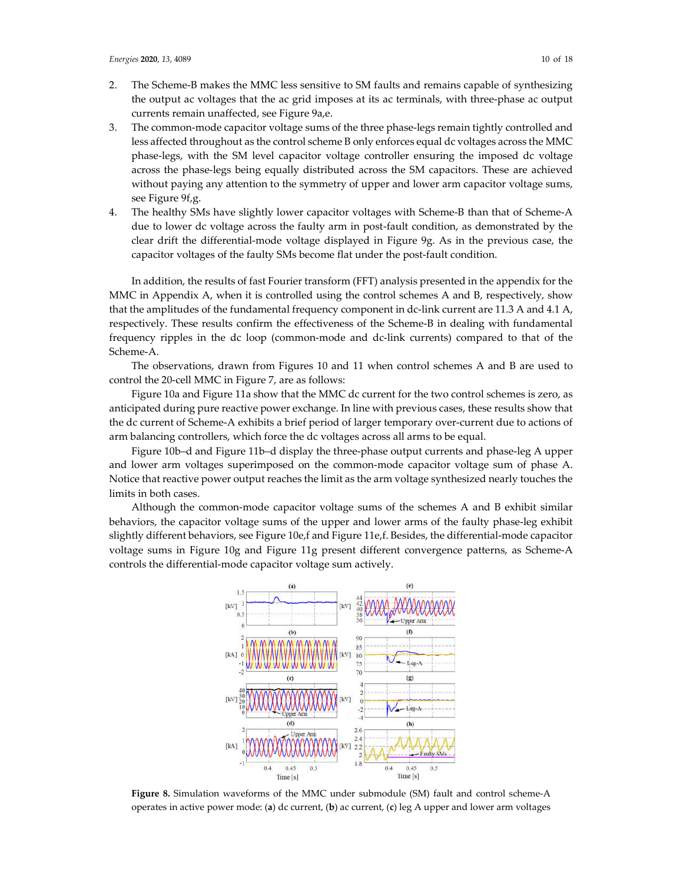- 2. The Scheme-B makes the MMC less sensitive to SM faults and remains capable of synthesizing the output ac voltages that the ac grid imposes at its ac terminals, with three-phase ac output currents remain unaffected, see Figure 9a,e.
- 3. The common-mode capacitor voltage sums of the three phase-legs remain tightly controlled and less affected throughout as the control scheme B only enforces equal dc voltages across the MMC phase-legs, with the SM level capacitor voltage controller ensuring the imposed dc voltage across the phase-legs being equally distributed across the SM capacitors. These are achieved without paying any attention to the symmetry of upper and lower arm capacitor voltage sums, see Figure 9f,g.
- 4. The healthy SMs have slightly lower capacitor voltages with Scheme-B than that of Scheme-A due to lower dc voltage across the faulty arm in post-fault condition, as demonstrated by the clear drift the differential-mode voltage displayed in Figure 9g. As in the previous case, the capacitor voltages of the faulty SMs become flat under the post-fault condition.

In addition, the results of fast Fourier transform (FFT) analysis presented in the appendix for the MMC in Appendix A, when it is controlled using the control schemes A and B, respectively, show that the amplitudes of the fundamental frequency component in dc-link current are 11.3 A and 4.1 A, respectively. These results confirm the effectiveness of the Scheme-B in dealing with fundamental frequency ripples in the dc loop (common-mode and dc-link currents) compared to that of the Scheme-A.

The observations, drawn from Figures 10 and 11 when control schemes A and B are used to control the 20-cell MMC in Figure 7, are as follows:

Figure 10a and Figure 11a show that the MMC dc current for the two control schemes is zero, as anticipated during pure reactive power exchange. In line with previous cases, these results show that the dc current of Scheme-A exhibits a brief period of larger temporary over-current due to actions of arm balancing controllers, which force the dc voltages across all arms to be equal.

Figure 10b–d and Figure 11b–d display the three-phase output currents and phase-leg A upper and lower arm voltages superimposed on the common-mode capacitor voltage sum of phase A. Notice that reactive power output reaches the limit as the arm voltage synthesized nearly touches the limits in both cases.

Although the common-mode capacitor voltage sums of the schemes A and B exhibit similar behaviors, the capacitor voltage sums of the upper and lower arms of the faulty phase-leg exhibit slightly different behaviors, see Figure 10e,f and Figure 11e,f. Besides, the differential-mode capacitor voltage sums in Figure 10g and Figure 11g present different convergence patterns, as Scheme-A controls the differential-mode capacitor voltage sum actively.



**Figure 8.** Simulation waveforms of the MMC under submodule (SM) fault and control scheme-A operates in active power mode: (**a**) dc current, (**b**) ac current, (**c**) leg A upper and lower arm voltages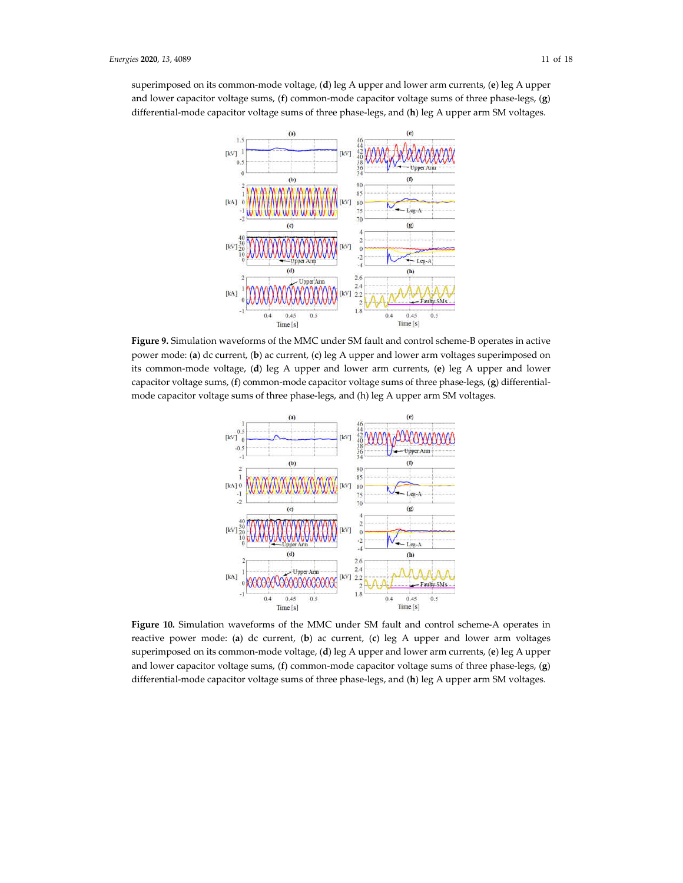superimposed on its common-mode voltage, (**d**) leg A upper and lower arm currents, (**e**) leg A upper and lower capacitor voltage sums, (**f**) common-mode capacitor voltage sums of three phase-legs, (**g**) differential-mode capacitor voltage sums of three phase-legs, and (**h**) leg A upper arm SM voltages.



**Figure 9.** Simulation waveforms of the MMC under SM fault and control scheme-B operates in active power mode: (**a**) dc current, (**b**) ac current, (**c**) leg A upper and lower arm voltages superimposed on its common-mode voltage, (**d**) leg A upper and lower arm currents, (**e**) leg A upper and lower capacitor voltage sums, (**f**) common-mode capacitor voltage sums of three phase-legs, (**g**) differentialmode capacitor voltage sums of three phase-legs, and (h) leg A upper arm SM voltages.



**Figure 10.** Simulation waveforms of the MMC under SM fault and control scheme-A operates in reactive power mode: (**a**) dc current, (**b**) ac current, (**c**) leg A upper and lower arm voltages superimposed on its common-mode voltage, (**d**) leg A upper and lower arm currents, (**e**) leg A upper and lower capacitor voltage sums, (**f**) common-mode capacitor voltage sums of three phase-legs, (**g**) differential-mode capacitor voltage sums of three phase-legs, and (**h**) leg A upper arm SM voltages.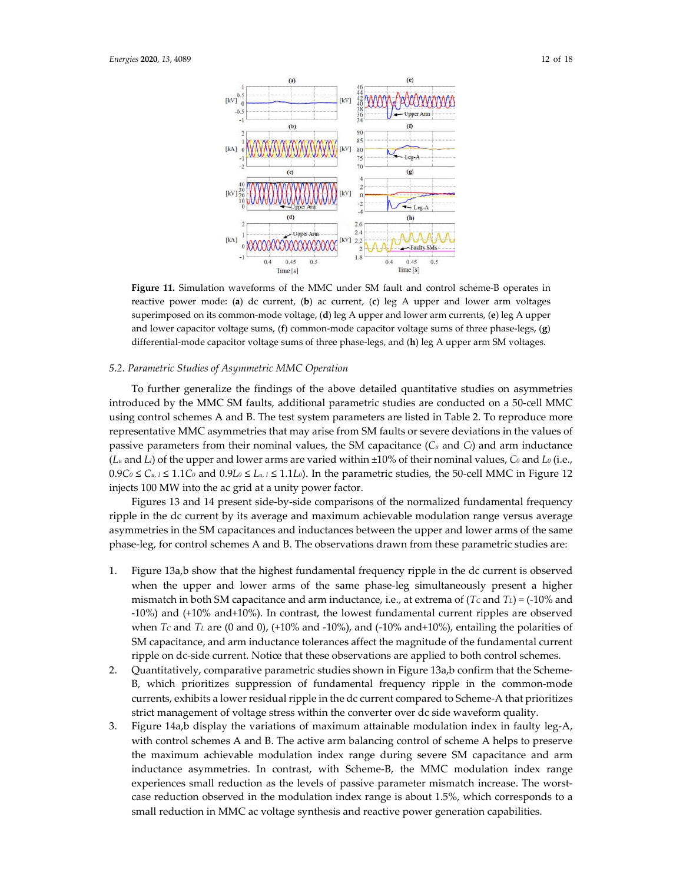

**Figure 11.** Simulation waveforms of the MMC under SM fault and control scheme-B operates in reactive power mode: (**a**) dc current, (**b**) ac current, (**c**) leg A upper and lower arm voltages superimposed on its common-mode voltage, (**d**) leg A upper and lower arm currents, (**e**) leg A upper and lower capacitor voltage sums, (**f**) common-mode capacitor voltage sums of three phase-legs, (**g**) differential-mode capacitor voltage sums of three phase-legs, and (**h**) leg A upper arm SM voltages.

### *5.2. Parametric Studies of Asymmetric MMC Operation*

To further generalize the findings of the above detailed quantitative studies on asymmetries introduced by the MMC SM faults, additional parametric studies are conducted on a 50-cell MMC using control schemes A and B. The test system parameters are listed in Table 2. To reproduce more representative MMC asymmetries that may arise from SM faults or severe deviations in the values of passive parameters from their nominal values, the SM capacitance (*Cu* and *Cl*) and arm inductance (*Lu* and *Ll*) of the upper and lower arms are varied within ±10% of their nominal values, *C0* and *L0* (i.e.,  $0.9C_0$  ≤  $C_u$ ,  $\leq$  1.1 $C_0$  and  $0.9L_0$  ≤  $L_u$ ,  $\leq$  1.1 $L_0$ ). In the parametric studies, the 50-cell MMC in Figure 12 injects 100 MW into the ac grid at a unity power factor.

Figures 13 and 14 present side-by-side comparisons of the normalized fundamental frequency ripple in the dc current by its average and maximum achievable modulation range versus average asymmetries in the SM capacitances and inductances between the upper and lower arms of the same phase-leg, for control schemes A and B. The observations drawn from these parametric studies are:

- 1. Figure 13a,b show that the highest fundamental frequency ripple in the dc current is observed when the upper and lower arms of the same phase-leg simultaneously present a higher mismatch in both SM capacitance and arm inductance, i.e., at extrema of (*Tc* and *T<sub>L</sub>*) = (-10% and -10%) and (+10% and+10%). In contrast, the lowest fundamental current ripples are observed when  $T_c$  and  $T_L$  are (0 and 0), (+10% and -10%), and (-10% and+10%), entailing the polarities of SM capacitance, and arm inductance tolerances affect the magnitude of the fundamental current ripple on dc-side current. Notice that these observations are applied to both control schemes.
- 2. Quantitatively, comparative parametric studies shown in Figure 13a,b confirm that the Scheme-B, which prioritizes suppression of fundamental frequency ripple in the common-mode currents, exhibits a lower residual ripple in the dc current compared to Scheme-A that prioritizes strict management of voltage stress within the converter over dc side waveform quality.
- 3. Figure 14a,b display the variations of maximum attainable modulation index in faulty leg-A, with control schemes A and B. The active arm balancing control of scheme A helps to preserve the maximum achievable modulation index range during severe SM capacitance and arm inductance asymmetries. In contrast, with Scheme-B, the MMC modulation index range experiences small reduction as the levels of passive parameter mismatch increase. The worstcase reduction observed in the modulation index range is about 1.5%, which corresponds to a small reduction in MMC ac voltage synthesis and reactive power generation capabilities.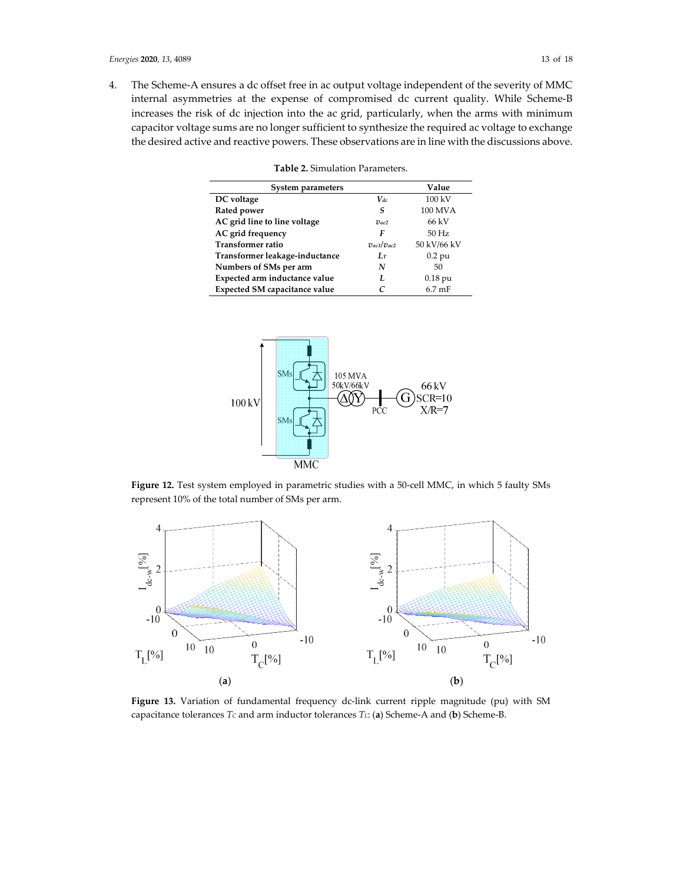4. The Scheme-A ensures a dc offset free in ac output voltage independent of the severity of MMC internal asymmetries at the expense of compromised dc current quality. While Scheme-B increases the risk of dc injection into the ac grid, particularly, when the arms with minimum capacitor voltage sums are no longer sufficient to synthesize the required ac voltage to exchange the desired active and reactive powers. These observations are in line with the discussions above.

**Table 2.** Simulation Parameters.

| System parameters                    |                   | Value            |
|--------------------------------------|-------------------|------------------|
| DC voltage                           | $V_{dc}$          | 100 kV           |
| Rated power                          | S                 | <b>100 MVA</b>   |
| AC grid line to line voltage         | $\eta_{ac2}$      | 66 kV            |
| AC grid frequency                    | F                 | $50$ Hz          |
| <b>Transformer ratio</b>             | $v_{ac1}/v_{ac2}$ | 50 kV/66 kV      |
| Transformer leakage-inductance       | $L_T$             | $0.2$ pu         |
| Numbers of SMs per arm               | N                 | 50               |
| Expected arm inductance value        | L                 | $0.18$ pu        |
| <b>Expected SM capacitance value</b> |                   | $6.7 \text{ mF}$ |

105 MVA 50kV/66kV 66 kV  $SCR = 10$ 100 kV  $\vec{PCC}$  $X/R=7$ **MMC** 

Figure 12. Test system employed in parametric studies with a 50-cell MMC, in which 5 faulty SMs represent 10% of the total number of SMs per arm.



**Figure 13.** Variation of fundamental frequency dc-link current ripple magnitude (pu) with SM capacitance tolerances *TC* and arm inductor tolerances *TL*: (**a**) Scheme-A and (**b**) Scheme-B.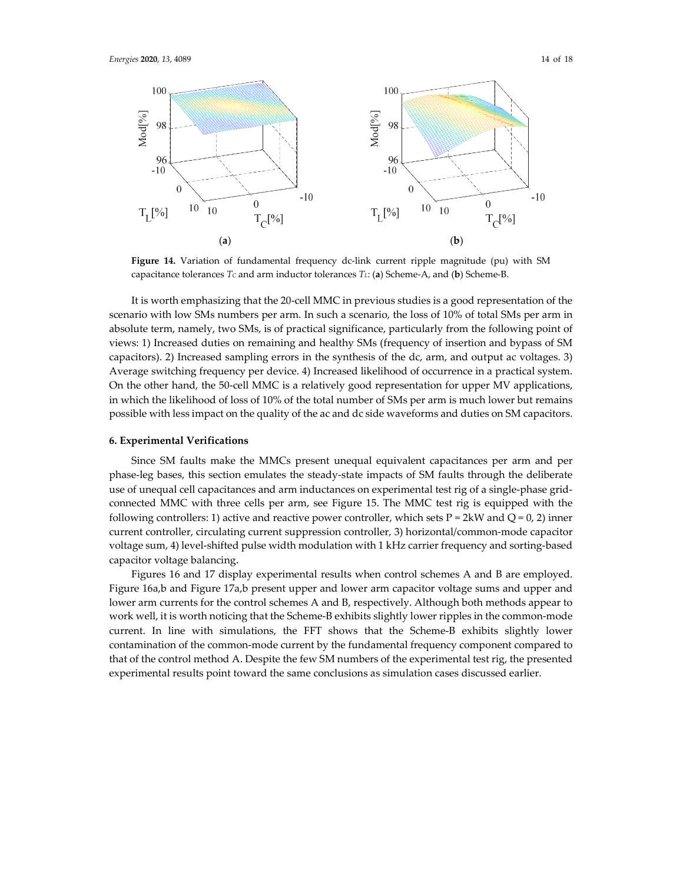

**Figure 14.** Variation of fundamental frequency dc-link current ripple magnitude (pu) with SM capacitance tolerances *TC* and arm inductor tolerances *TL*: (**a**) Scheme-A, and (**b**) Scheme-B.

It is worth emphasizing that the 20-cell MMC in previous studies is a good representation of the scenario with low SMs numbers per arm. In such a scenario, the loss of 10% of total SMs per arm in absolute term, namely, two SMs, is of practical significance, particularly from the following point of views: 1) Increased duties on remaining and healthy SMs (frequency of insertion and bypass of SM capacitors). 2) Increased sampling errors in the synthesis of the dc, arm, and output ac voltages. 3) Average switching frequency per device. 4) Increased likelihood of occurrence in a practical system. On the other hand, the 50-cell MMC is a relatively good representation for upper MV applications, in which the likelihood of loss of 10% of the total number of SMs per arm is much lower but remains possible with less impact on the quality of the ac and dc side waveforms and duties on SM capacitors.

#### **6. Experimental Verifications**

Since SM faults make the MMCs present unequal equivalent capacitances per arm and per phase-leg bases, this section emulates the steady-state impacts of SM faults through the deliberate use of unequal cell capacitances and arm inductances on experimental test rig of a single-phase gridconnected MMC with three cells per arm, see Figure 15. The MMC test rig is equipped with the following controllers: 1) active and reactive power controller, which sets  $P = 2kW$  and  $Q = 0$ , 2) inner current controller, circulating current suppression controller, 3) horizontal/common-mode capacitor voltage sum, 4) level-shifted pulse width modulation with 1 kHz carrier frequency and sorting-based capacitor voltage balancing.

Figures 16 and 17 display experimental results when control schemes A and B are employed. Figure 16a,b and Figure 17a,b present upper and lower arm capacitor voltage sums and upper and lower arm currents for the control schemes A and B, respectively. Although both methods appear to work well, it is worth noticing that the Scheme-B exhibits slightly lower ripples in the common-mode current. In line with simulations, the FFT shows that the Scheme-B exhibits slightly lower contamination of the common-mode current by the fundamental frequency component compared to that of the control method A. Despite the few SM numbers of the experimental test rig, the presented experimental results point toward the same conclusions as simulation cases discussed earlier.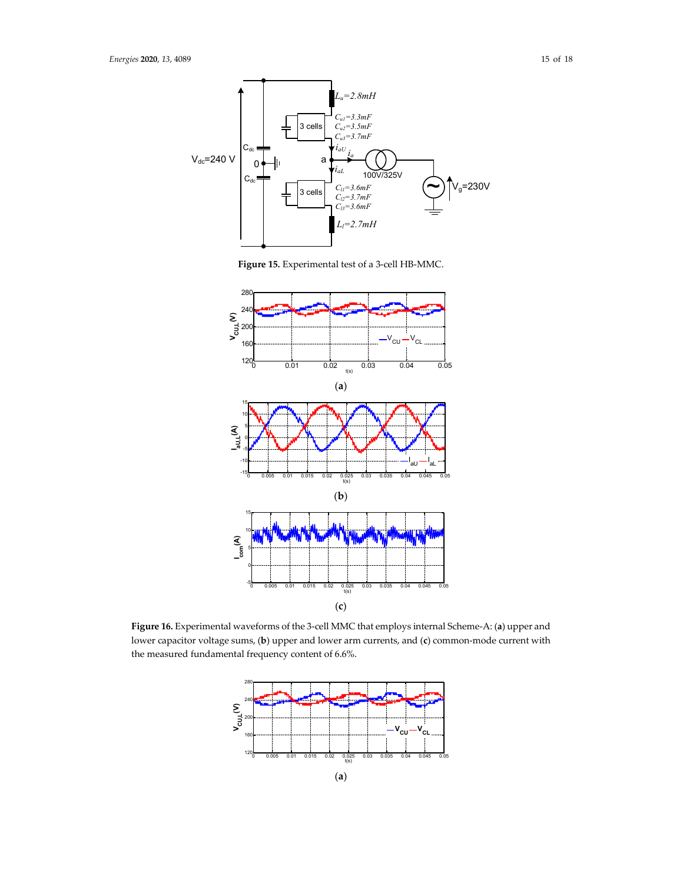

**Figure 15.** Experimental test of a 3-cell HB-MMC.



**Figure 16.** Experimental waveforms of the 3-cell MMC that employs internal Scheme-A: (**a**) upper and lower capacitor voltage sums, (**b**) upper and lower arm currents, and (**c**) common-mode current with the measured fundamental frequency content of 6.6%.

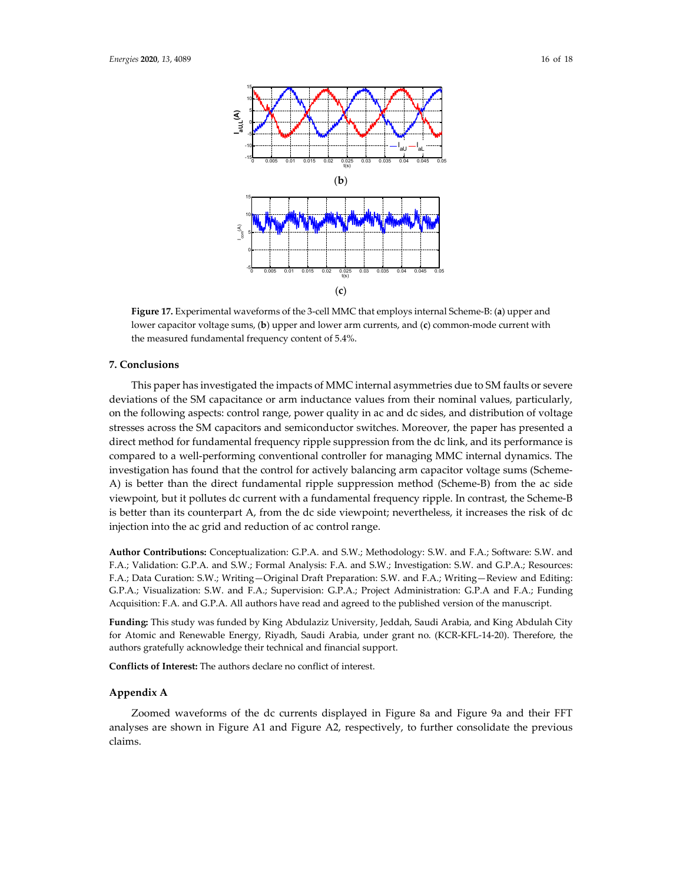

**Figure 17.** Experimental waveforms of the 3-cell MMC that employs internal Scheme-B: (**a**) upper and lower capacitor voltage sums, (**b**) upper and lower arm currents, and (**c**) common-mode current with the measured fundamental frequency content of 5.4%.

#### **7. Conclusions**

This paper has investigated the impacts of MMC internal asymmetries due to SM faults or severe deviations of the SM capacitance or arm inductance values from their nominal values, particularly, on the following aspects: control range, power quality in ac and dc sides, and distribution of voltage stresses across the SM capacitors and semiconductor switches. Moreover, the paper has presented a direct method for fundamental frequency ripple suppression from the dc link, and its performance is compared to a well-performing conventional controller for managing MMC internal dynamics. The investigation has found that the control for actively balancing arm capacitor voltage sums (Scheme-A) is better than the direct fundamental ripple suppression method (Scheme-B) from the ac side viewpoint, but it pollutes dc current with a fundamental frequency ripple. In contrast, the Scheme-B is better than its counterpart A, from the dc side viewpoint; nevertheless, it increases the risk of dc injection into the ac grid and reduction of ac control range.

**Author Contributions:** Conceptualization: G.P.A. and S.W.; Methodology: S.W. and F.A.; Software: S.W. and F.A.; Validation: G.P.A. and S.W.; Formal Analysis: F.A. and S.W.; Investigation: S.W. and G.P.A.; Resources: F.A.; Data Curation: S.W.; Writing—Original Draft Preparation: S.W. and F.A.; Writing—Review and Editing: G.P.A.; Visualization: S.W. and F.A.; Supervision: G.P.A.; Project Administration: G.P.A and F.A.; Funding Acquisition: F.A. and G.P.A. All authors have read and agreed to the published version of the manuscript.

**Funding:** This study was funded by King Abdulaziz University, Jeddah, Saudi Arabia, and King Abdulah City for Atomic and Renewable Energy, Riyadh, Saudi Arabia, under grant no. (KCR-KFL-14-20). Therefore, the authors gratefully acknowledge their technical and financial support.

**Conflicts of Interest:** The authors declare no conflict of interest.

#### **Appendix A**

Zoomed waveforms of the dc currents displayed in Figure 8a and Figure 9a and their FFT analyses are shown in Figure A1 and Figure A2, respectively, to further consolidate the previous claims.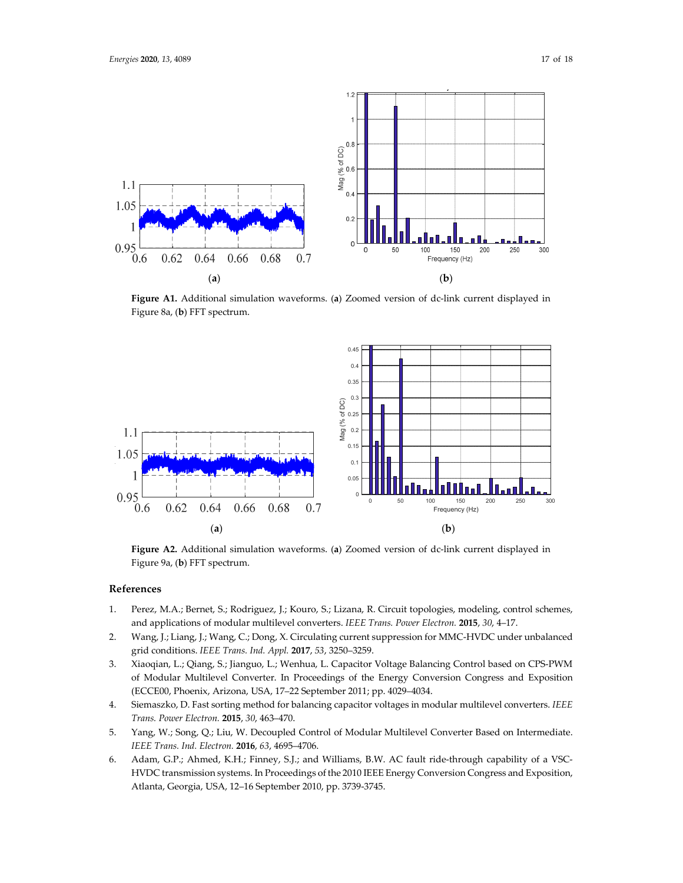

**Figure A1.** Additional simulation waveforms. (**a**) Zoomed version of dc-link current displayed in Figure 8a, (**b**) FFT spectrum.



**Figure A2.** Additional simulation waveforms. (**a**) Zoomed version of dc-link current displayed in Figure 9a, (**b**) FFT spectrum.

#### **References**

- 1. Perez, M.A.; Bernet, S.; Rodriguez, J.; Kouro, S.; Lizana, R. Circuit topologies, modeling, control schemes, and applications of modular multilevel converters. *IEEE Trans. Power Electron.* **2015**, *30*, 4–17.
- 2. Wang, J.; Liang, J.; Wang, C.; Dong, X. Circulating current suppression for MMC-HVDC under unbalanced grid conditions. *IEEE Trans. Ind. Appl.* **2017**, *53*, 3250–3259.
- 3. Xiaoqian, L.; Qiang, S.; Jianguo, L.; Wenhua, L. Capacitor Voltage Balancing Control based on CPS-PWM of Modular Multilevel Converter. In Proceedings of the Energy Conversion Congress and Exposition (ECCE00, Phoenix, Arizona, USA, 17–22 September 2011; pp. 4029–4034.
- 4. Siemaszko, D. Fast sorting method for balancing capacitor voltages in modular multilevel converters. *IEEE Trans. Power Electron.* **2015**, *30*, 463–470.
- 5. Yang, W.; Song, Q.; Liu, W. Decoupled Control of Modular Multilevel Converter Based on Intermediate. *IEEE Trans. Ind. Electron.* **2016**, *63*, 4695–4706.
- 6. Adam, G.P.; Ahmed, K.H.; Finney, S.J.; and Williams, B.W. AC fault ride-through capability of a VSC-HVDC transmission systems. In Proceedings of the 2010 IEEE Energy Conversion Congress and Exposition, Atlanta, Georgia, USA, 12–16 September 2010, pp. 3739-3745.